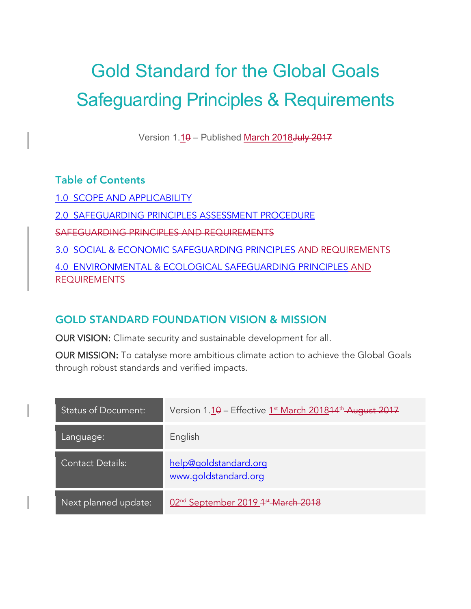# Gold Standard for the Global Goals Safeguarding Principles & Requirements

Version 1.10 - Published March 2018 July 2017

# Table of Contents

1.0 SCOPE AND APPLICABILITY 2.0 SAFEGUARDING PRINCIPLES ASSESSMENT PROCEDURE SAFEGUARDING PRINCIPLES AND REQUIREMENTS 3.0 SOCIAL & ECONOMIC SAFEGUARDING PRINCIPLES AND REQUIREMENTS 4.0 ENVIRONMENTAL & ECOLOGICAL SAFEGUARDING PRINCIPLES AND REQUIREMENTS

# GOLD STANDARD FOUNDATION VISION & MISSION

OUR VISION: Climate security and sustainable development for all.

OUR MISSION: To catalyse more ambitious climate action to achieve the Global Goals through robust standards and verified impacts.

| <b>Status of Document:</b> | Version 1.10 - Effective 1 <sup>st</sup> March 201814 <sup>th</sup> August 2017 |
|----------------------------|---------------------------------------------------------------------------------|
| Language:                  | English                                                                         |
| <b>Contact Details:</b>    | help@goldstandard.org<br>www.goldstandard.org                                   |
| Next planned update:       | 02 <sup>nd</sup> September 2019 <sup>1st</sup> March 2018                       |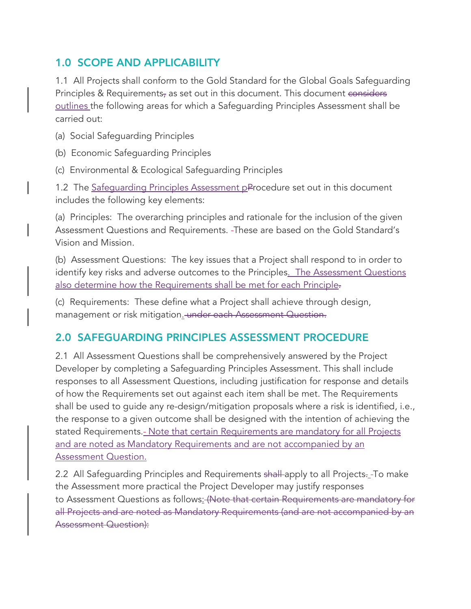# 1.0 SCOPE AND APPLICABILITY

1.1 All Projects shall conform to the Gold Standard for the Global Goals Safeguarding Principles & Requirements, as set out in this document. This document considers outlines the following areas for which a Safeguarding Principles Assessment shall be carried out:

(a) Social Safeguarding Principles

(b) Economic Safeguarding Principles

(c) Environmental & Ecological Safeguarding Principles

1.2 The Safequarding Principles Assessment pProcedure set out in this document includes the following key elements:

(a) Principles: The overarching principles and rationale for the inclusion of the given Assessment Questions and Requirements. These are based on the Gold Standard's Vision and Mission.

(b) Assessment Questions: The key issues that a Project shall respond to in order to identify key risks and adverse outcomes to the Principles. The Assessment Questions also determine how the Requirements shall be met for each Principle-

(c) Requirements: These define what a Project shall achieve through design, management or risk mitigation. under each Assessment Question.

# 2.0 SAFEGUARDING PRINCIPLES ASSESSMENT PROCEDURE

2.1 All Assessment Questions shall be comprehensively answered by the Project Developer by completing a Safeguarding Principles Assessment. This shall include responses to all Assessment Questions, including justification for response and details of how the Requirements set out against each item shall be met. The Requirements shall be used to guide any re-design/mitigation proposals where a risk is identified, i.e., the response to a given outcome shall be designed with the intention of achieving the stated Requirements.- Note that certain Requirements are mandatory for all Projects and are noted as Mandatory Requirements and are not accompanied by an **Assessment Question.** 

2.2 All Safeguarding Principles and Requirements shall apply to all Projects. To make the Assessment more practical the Project Developer may justify responses to Assessment Questions as follows: (Note that certain Requirements are mandatory for all Projects and are noted as Mandatory Requirements (and are not accompanied by an Assessment Question):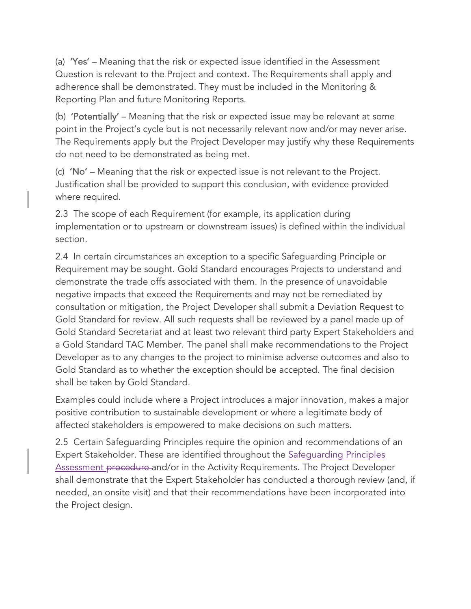(a) 'Yes' – Meaning that the risk or expected issue identified in the Assessment Question is relevant to the Project and context. The Requirements shall apply and adherence shall be demonstrated. They must be included in the Monitoring & Reporting Plan and future Monitoring Reports.

(b) 'Potentially' – Meaning that the risk or expected issue may be relevant at some point in the Project's cycle but is not necessarily relevant now and/or may never arise. The Requirements apply but the Project Developer may justify why these Requirements do not need to be demonstrated as being met.

(c) 'No' – Meaning that the risk or expected issue is not relevant to the Project. Justification shall be provided to support this conclusion, with evidence provided where required.

2.3 The scope of each Requirement (for example, its application during implementation or to upstream or downstream issues) is defined within the individual section.

2.4 In certain circumstances an exception to a specific Safeguarding Principle or Requirement may be sought. Gold Standard encourages Projects to understand and demonstrate the trade offs associated with them. In the presence of unavoidable negative impacts that exceed the Requirements and may not be remediated by consultation or mitigation, the Project Developer shall submit a Deviation Request to Gold Standard for review. All such requests shall be reviewed by a panel made up of Gold Standard Secretariat and at least two relevant third party Expert Stakeholders and a Gold Standard TAC Member. The panel shall make recommendations to the Project Developer as to any changes to the project to minimise adverse outcomes and also to Gold Standard as to whether the exception should be accepted. The final decision shall be taken by Gold Standard.

Examples could include where a Project introduces a major innovation, makes a major positive contribution to sustainable development or where a legitimate body of affected stakeholders is empowered to make decisions on such matters.

2.5 Certain Safeguarding Principles require the opinion and recommendations of an Expert Stakeholder. These are identified throughout the Safeguarding Principles Assessment procedure and/or in the Activity Requirements. The Project Developer shall demonstrate that the Expert Stakeholder has conducted a thorough review (and, if needed, an onsite visit) and that their recommendations have been incorporated into the Project design.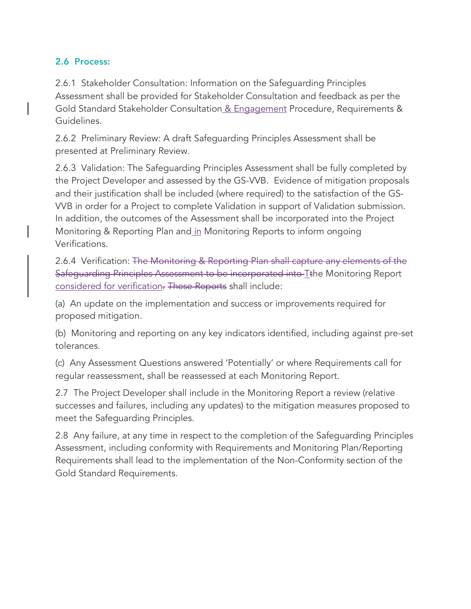# 2.6 Process:

2.6.1 Stakeholder Consultation: Information on the Safeguarding Principles Assessment shall be provided for Stakeholder Consultation and feedback as per the Gold Standard Stakeholder Consultation & Engagement Procedure, Requirements & Guidelines.

2.6.2 Preliminary Review: A draft Safeguarding Principles Assessment shall be presented at Preliminary Review.

2.6.3 Validation: The Safeguarding Principles Assessment shall be fully completed by the Project Developer and assessed by the GS-VVB. Evidence of mitigation proposals and their justification shall be included (where required) to the satisfaction of the GS-VVB in order for a Project to complete Validation in support of Validation submission. In addition, the outcomes of the Assessment shall be incorporated into the Project Monitoring & Reporting Plan and in Monitoring Reports to inform ongoing Verifications.

2.6.4 Verification: The Monitoring & Reporting Plan shall capture any elements of the Safeguarding Principles Assessment to be incorporated into Tthe Monitoring Report considered for verification. These Reports shall include:

(a) An update on the implementation and success or improvements required for proposed mitigation.

(b) Monitoring and reporting on any key indicators identified, including against pre-set tolerances.

(c) Any Assessment Questions answered 'Potentially' or where Requirements call for regular reassessment, shall be reassessed at each Monitoring Report.

2.7 The Project Developer shall include in the Monitoring Report a review (relative successes and failures, including any updates) to the mitigation measures proposed to meet the Safeguarding Principles.

2.8 Any failure, at any time in respect to the completion of the Safeguarding Principles Assessment, including conformity with Requirements and Monitoring Plan/Reporting Requirements shall lead to the implementation of the Non-Conformity section of the Gold Standard Requirements.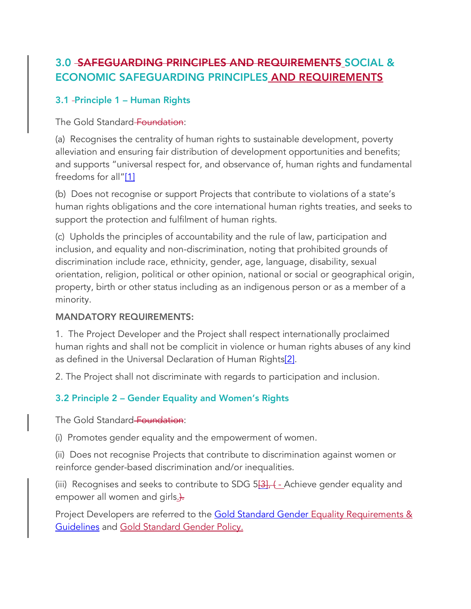# 3.0 SAFEGUARDING PRINCIPLES AND REQUIREMENTS SOCIAL & ECONOMIC SAFEGUARDING PRINCIPLES AND REQUIREMENTS

# 3.1 Principle 1 – Human Rights

The Gold Standard Foundation:

(a) Recognises the centrality of human rights to sustainable development, poverty alleviation and ensuring fair distribution of development opportunities and benefits; and supports "universal respect for, and observance of, human rights and fundamental freedoms for all"[1]

(b) Does not recognise or support Projects that contribute to violations of a state's human rights obligations and the core international human rights treaties, and seeks to support the protection and fulfilment of human rights.

(c) Upholds the principles of accountability and the rule of law, participation and inclusion, and equality and non-discrimination, noting that prohibited grounds of discrimination include race, ethnicity, gender, age, language, disability, sexual orientation, religion, political or other opinion, national or social or geographical origin, property, birth or other status including as an indigenous person or as a member of a minority.

# MANDATORY REQUIREMENTS:

1. The Project Developer and the Project shall respect internationally proclaimed human rights and shall not be complicit in violence or human rights abuses of any kind as defined in the Universal Declaration of Human Rights<sup>[2]</sup>.

2. The Project shall not discriminate with regards to participation and inclusion.

# 3.2 Principle 2 – Gender Equality and Women's Rights

The Gold Standard Foundation:

(i) Promotes gender equality and the empowerment of women.

(ii) Does not recognise Projects that contribute to discrimination against women or reinforce gender-based discrimination and/or inequalities.

(iii) Recognises and seeks to contribute to SDG  $5\frac{131}{16}$ , (- Achieve gender equality and empower all women and girls...

Project Developers are referred to the Gold Standard Gender Equality Requirements & Guidelines and Gold Standard Gender Policy.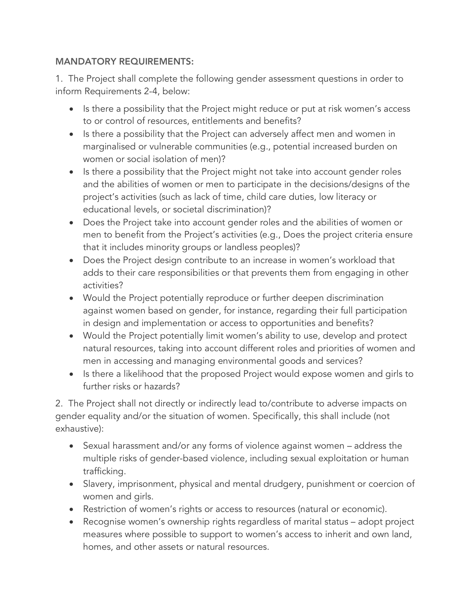### MANDATORY REQUIREMENTS:

1. The Project shall complete the following gender assessment questions in order to inform Requirements 2-4, below:

- Is there a possibility that the Project might reduce or put at risk women's access to or control of resources, entitlements and benefits?
- Is there a possibility that the Project can adversely affect men and women in marginalised or vulnerable communities (e.g., potential increased burden on women or social isolation of men)?
- Is there a possibility that the Project might not take into account gender roles and the abilities of women or men to participate in the decisions/designs of the project's activities (such as lack of time, child care duties, low literacy or educational levels, or societal discrimination)?
- Does the Project take into account gender roles and the abilities of women or men to benefit from the Project's activities (e.g., Does the project criteria ensure that it includes minority groups or landless peoples)?
- Does the Project design contribute to an increase in women's workload that adds to their care responsibilities or that prevents them from engaging in other activities?
- Would the Project potentially reproduce or further deepen discrimination against women based on gender, for instance, regarding their full participation in design and implementation or access to opportunities and benefits?
- Would the Project potentially limit women's ability to use, develop and protect natural resources, taking into account different roles and priorities of women and men in accessing and managing environmental goods and services?
- Is there a likelihood that the proposed Project would expose women and girls to further risks or hazards?

2. The Project shall not directly or indirectly lead to/contribute to adverse impacts on gender equality and/or the situation of women. Specifically, this shall include (not exhaustive):

- Sexual harassment and/or any forms of violence against women address the multiple risks of gender-based violence, including sexual exploitation or human trafficking.
- Slavery, imprisonment, physical and mental drudgery, punishment or coercion of women and girls.
- Restriction of women's rights or access to resources (natural or economic).
- Recognise women's ownership rights regardless of marital status adopt project measures where possible to support to women's access to inherit and own land, homes, and other assets or natural resources.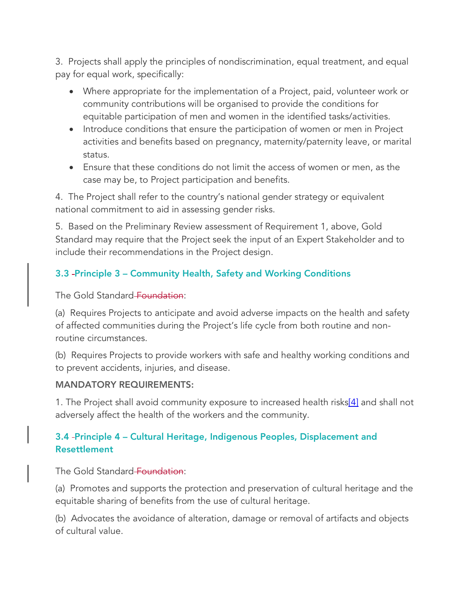3. Projects shall apply the principles of nondiscrimination, equal treatment, and equal pay for equal work, specifically:

- Where appropriate for the implementation of a Project, paid, volunteer work or community contributions will be organised to provide the conditions for equitable participation of men and women in the identified tasks/activities.
- Introduce conditions that ensure the participation of women or men in Project activities and benefits based on pregnancy, maternity/paternity leave, or marital status.
- Ensure that these conditions do not limit the access of women or men, as the case may be, to Project participation and benefits.

4. The Project shall refer to the country's national gender strategy or equivalent national commitment to aid in assessing gender risks.

5. Based on the Preliminary Review assessment of Requirement 1, above, Gold Standard may require that the Project seek the input of an Expert Stakeholder and to include their recommendations in the Project design.

# 3.3 Principle 3 – Community Health, Safety and Working Conditions

The Gold Standard Foundation:

(a) Requires Projects to anticipate and avoid adverse impacts on the health and safety of affected communities during the Project's life cycle from both routine and nonroutine circumstances.

(b) Requires Projects to provide workers with safe and healthy working conditions and to prevent accidents, injuries, and disease.

#### MANDATORY REQUIREMENTS:

1. The Project shall avoid community exposure to increased health risks<sup>[4]</sup> and shall not adversely affect the health of the workers and the community.

# 3.4 Principle 4 – Cultural Heritage, Indigenous Peoples, Displacement and Resettlement

The Gold Standard Foundation:

(a) Promotes and supports the protection and preservation of cultural heritage and the equitable sharing of benefits from the use of cultural heritage.

(b) Advocates the avoidance of alteration, damage or removal of artifacts and objects of cultural value.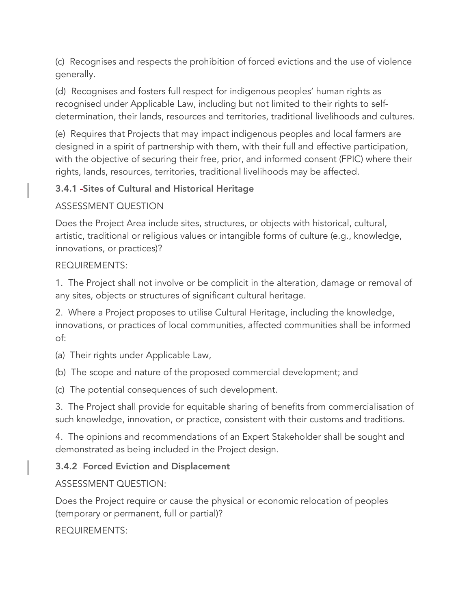(c) Recognises and respects the prohibition of forced evictions and the use of violence generally.

(d) Recognises and fosters full respect for indigenous peoples' human rights as recognised under Applicable Law, including but not limited to their rights to selfdetermination, their lands, resources and territories, traditional livelihoods and cultures.

(e) Requires that Projects that may impact indigenous peoples and local farmers are designed in a spirit of partnership with them, with their full and effective participation, with the objective of securing their free, prior, and informed consent (FPIC) where their rights, lands, resources, territories, traditional livelihoods may be affected.

# 3.4.1 Sites of Cultural and Historical Heritage

# ASSESSMENT QUESTION

Does the Project Area include sites, structures, or objects with historical, cultural, artistic, traditional or religious values or intangible forms of culture (e.g., knowledge, innovations, or practices)?

# REQUIREMENTS:

1. The Project shall not involve or be complicit in the alteration, damage or removal of any sites, objects or structures of significant cultural heritage.

2. Where a Project proposes to utilise Cultural Heritage, including the knowledge, innovations, or practices of local communities, affected communities shall be informed of:

(a) Their rights under Applicable Law,

(b) The scope and nature of the proposed commercial development; and

(c) The potential consequences of such development.

3. The Project shall provide for equitable sharing of benefits from commercialisation of such knowledge, innovation, or practice, consistent with their customs and traditions.

4. The opinions and recommendations of an Expert Stakeholder shall be sought and demonstrated as being included in the Project design.

# 3.4.2 Forced Eviction and Displacement

# ASSESSMENT QUESTION:

Does the Project require or cause the physical or economic relocation of peoples (temporary or permanent, full or partial)?

REQUIREMENTS: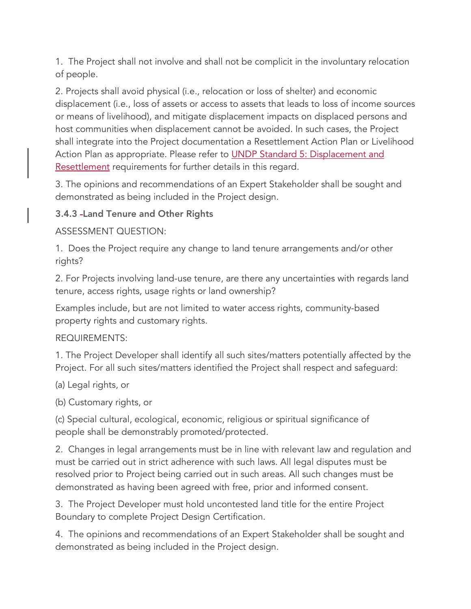1. The Project shall not involve and shall not be complicit in the involuntary relocation of people.

2. Projects shall avoid physical (i.e., relocation or loss of shelter) and economic displacement (i.e., loss of assets or access to assets that leads to loss of income sources or means of livelihood), and mitigate displacement impacts on displaced persons and host communities when displacement cannot be avoided. In such cases, the Project shall integrate into the Project documentation a Resettlement Action Plan or Livelihood Action Plan as appropriate. Please refer to UNDP Standard 5: Displacement and Resettlement requirements for further details in this regard.

3. The opinions and recommendations of an Expert Stakeholder shall be sought and demonstrated as being included in the Project design.

# 3.4.3 Land Tenure and Other Rights

ASSESSMENT QUESTION:

1. Does the Project require any change to land tenure arrangements and/or other rights?

2. For Projects involving land-use tenure, are there any uncertainties with regards land tenure, access rights, usage rights or land ownership?

Examples include, but are not limited to water access rights, community-based property rights and customary rights.

REQUIREMENTS:

1. The Project Developer shall identify all such sites/matters potentially affected by the Project. For all such sites/matters identified the Project shall respect and safeguard:

(a) Legal rights, or

(b) Customary rights, or

(c) Special cultural, ecological, economic, religious or spiritual significance of people shall be demonstrably promoted/protected.

2. Changes in legal arrangements must be in line with relevant law and regulation and must be carried out in strict adherence with such laws. All legal disputes must be resolved prior to Project being carried out in such areas. All such changes must be demonstrated as having been agreed with free, prior and informed consent.

3. The Project Developer must hold uncontested land title for the entire Project Boundary to complete Project Design Certification.

4. The opinions and recommendations of an Expert Stakeholder shall be sought and demonstrated as being included in the Project design.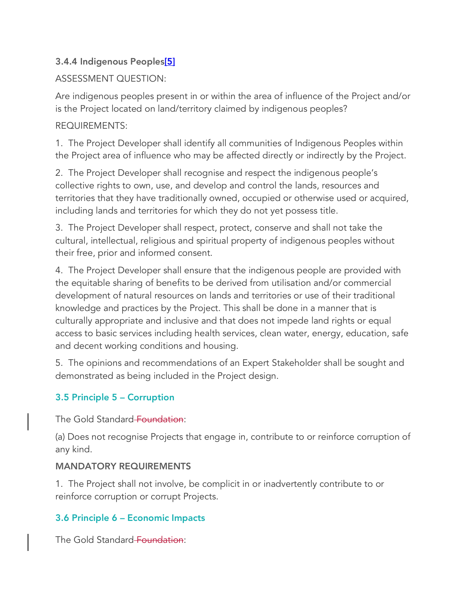# 3.4.4 Indigenous Peoples[5]

# ASSESSMENT QUESTION:

Are indigenous peoples present in or within the area of influence of the Project and/or is the Project located on land/territory claimed by indigenous peoples?

# REQUIREMENTS:

1. The Project Developer shall identify all communities of Indigenous Peoples within the Project area of influence who may be affected directly or indirectly by the Project.

2. The Project Developer shall recognise and respect the indigenous people's collective rights to own, use, and develop and control the lands, resources and territories that they have traditionally owned, occupied or otherwise used or acquired, including lands and territories for which they do not yet possess title.

3. The Project Developer shall respect, protect, conserve and shall not take the cultural, intellectual, religious and spiritual property of indigenous peoples without their free, prior and informed consent.

4. The Project Developer shall ensure that the indigenous people are provided with the equitable sharing of benefits to be derived from utilisation and/or commercial development of natural resources on lands and territories or use of their traditional knowledge and practices by the Project. This shall be done in a manner that is culturally appropriate and inclusive and that does not impede land rights or equal access to basic services including health services, clean water, energy, education, safe and decent working conditions and housing.

5. The opinions and recommendations of an Expert Stakeholder shall be sought and demonstrated as being included in the Project design.

# 3.5 Principle 5 – Corruption

The Gold Standard Foundation:

(a) Does not recognise Projects that engage in, contribute to or reinforce corruption of any kind.

# MANDATORY REQUIREMENTS

1. The Project shall not involve, be complicit in or inadvertently contribute to or reinforce corruption or corrupt Projects.

# 3.6 Principle 6 – Economic Impacts

The Gold Standard Foundation: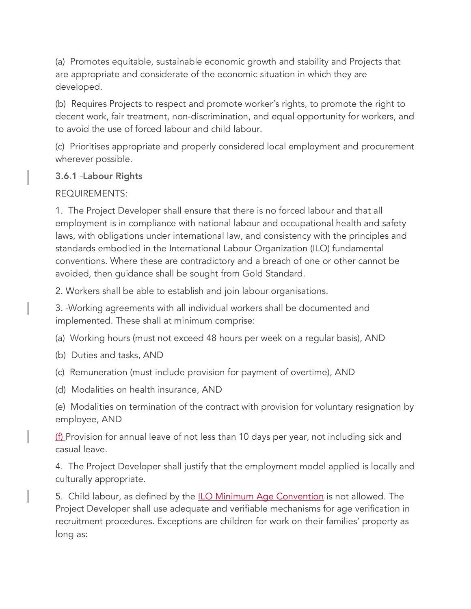(a) Promotes equitable, sustainable economic growth and stability and Projects that are appropriate and considerate of the economic situation in which they are developed.

(b) Requires Projects to respect and promote worker's rights, to promote the right to decent work, fair treatment, non-discrimination, and equal opportunity for workers, and to avoid the use of forced labour and child labour.

(c) Prioritises appropriate and properly considered local employment and procurement wherever possible.

# 3.6.1 Labour Rights

# REQUIREMENTS:

1. The Project Developer shall ensure that there is no forced labour and that all employment is in compliance with national labour and occupational health and safety laws, with obligations under international law, and consistency with the principles and standards embodied in the International Labour Organization (ILO) fundamental conventions. Where these are contradictory and a breach of one or other cannot be avoided, then guidance shall be sought from Gold Standard.

2. Workers shall be able to establish and join labour organisations.

3. Working agreements with all individual workers shall be documented and implemented. These shall at minimum comprise:

(a) Working hours (must not exceed 48 hours per week on a regular basis), AND

- (b) Duties and tasks, AND
- (c) Remuneration (must include provision for payment of overtime), AND
- (d) Modalities on health insurance, AND

(e) Modalities on termination of the contract with provision for voluntary resignation by employee, AND

(f) Provision for annual leave of not less than 10 days per year, not including sick and casual leave.

4. The Project Developer shall justify that the employment model applied is locally and culturally appropriate.

5. Child labour, as defined by the **ILO Minimum Age Convention** is not allowed. The Project Developer shall use adequate and verifiable mechanisms for age verification in recruitment procedures. Exceptions are children for work on their families' property as long as: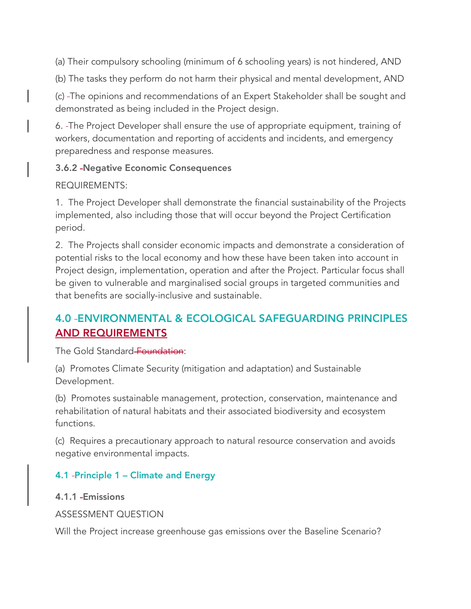(a) Their compulsory schooling (minimum of 6 schooling years) is not hindered, AND

(b) The tasks they perform do not harm their physical and mental development, AND

(c) The opinions and recommendations of an Expert Stakeholder shall be sought and demonstrated as being included in the Project design.

6. The Project Developer shall ensure the use of appropriate equipment, training of workers, documentation and reporting of accidents and incidents, and emergency preparedness and response measures.

### 3.6.2 Negative Economic Consequences

### REQUIREMENTS:

1. The Project Developer shall demonstrate the financial sustainability of the Projects implemented, also including those that will occur beyond the Project Certification period.

2. The Projects shall consider economic impacts and demonstrate a consideration of potential risks to the local economy and how these have been taken into account in Project design, implementation, operation and after the Project. Particular focus shall be given to vulnerable and marginalised social groups in targeted communities and that benefits are socially-inclusive and sustainable.

# 4.0 ENVIRONMENTAL & ECOLOGICAL SAFEGUARDING PRINCIPLES AND REQUIREMENTS

The Gold Standard Foundation:

(a) Promotes Climate Security (mitigation and adaptation) and Sustainable Development.

(b) Promotes sustainable management, protection, conservation, maintenance and rehabilitation of natural habitats and their associated biodiversity and ecosystem functions.

(c) Requires a precautionary approach to natural resource conservation and avoids negative environmental impacts.

# 4.1 Principle 1 – Climate and Energy

# 4.1.1 Emissions

ASSESSMENT QUESTION

Will the Project increase greenhouse gas emissions over the Baseline Scenario?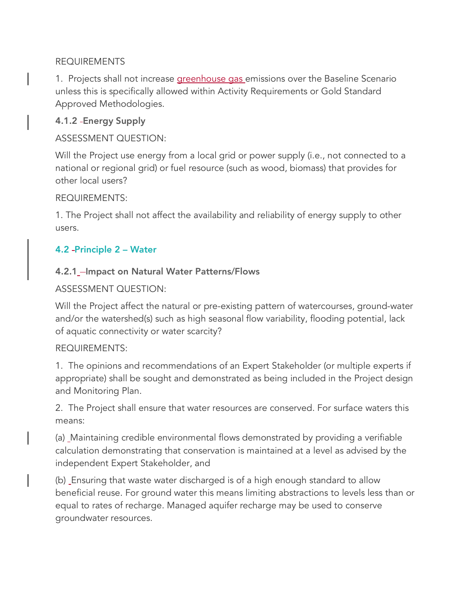#### REQUIREMENTS

1. Projects shall not increase **greenhouse gas** emissions over the Baseline Scenario unless this is specifically allowed within Activity Requirements or Gold Standard Approved Methodologies.

#### 4.1.2 Energy Supply

ASSESSMENT QUESTION:

Will the Project use energy from a local grid or power supply (i.e., not connected to a national or regional grid) or fuel resource (such as wood, biomass) that provides for other local users?

#### REQUIREMENTS:

1. The Project shall not affect the availability and reliability of energy supply to other users.

# 4.2 Principle 2 – Water

#### 4.2.1\_-Impact on Natural Water Patterns/Flows

#### ASSESSMENT QUESTION:

Will the Project affect the natural or pre-existing pattern of watercourses, ground-water and/or the watershed(s) such as high seasonal flow variability, flooding potential, lack of aquatic connectivity or water scarcity?

#### REQUIREMENTS:

1. The opinions and recommendations of an Expert Stakeholder (or multiple experts if appropriate) shall be sought and demonstrated as being included in the Project design and Monitoring Plan.

2. The Project shall ensure that water resources are conserved. For surface waters this means:

(a) Maintaining credible environmental flows demonstrated by providing a verifiable calculation demonstrating that conservation is maintained at a level as advised by the independent Expert Stakeholder, and

(b) Ensuring that waste water discharged is of a high enough standard to allow beneficial reuse. For ground water this means limiting abstractions to levels less than or equal to rates of recharge. Managed aquifer recharge may be used to conserve groundwater resources.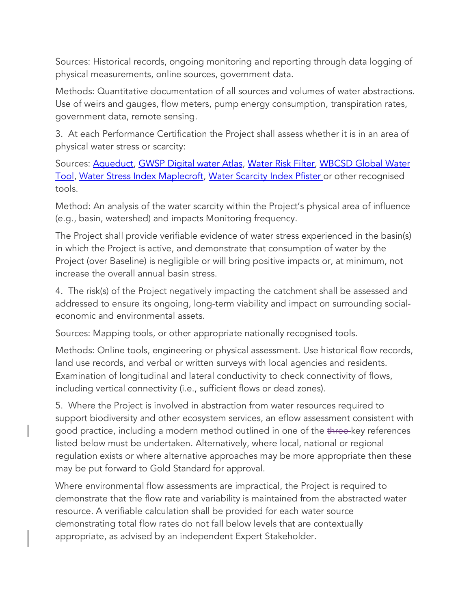Sources: Historical records, ongoing monitoring and reporting through data logging of physical measurements, online sources, government data.

Methods: Quantitative documentation of all sources and volumes of water abstractions. Use of weirs and gauges, flow meters, pump energy consumption, transpiration rates, government data, remote sensing.

3. At each Performance Certification the Project shall assess whether it is in an area of physical water stress or scarcity:

Sources: Aqueduct, GWSP Digital water Atlas, Water Risk Filter, WBCSD Global Water Tool, Water Stress Index Maplecroft, Water Scarcity Index Pfister or other recognised tools.

Method: An analysis of the water scarcity within the Project's physical area of influence (e.g., basin, watershed) and impacts Monitoring frequency.

The Project shall provide verifiable evidence of water stress experienced in the basin(s) in which the Project is active, and demonstrate that consumption of water by the Project (over Baseline) is negligible or will bring positive impacts or, at minimum, not increase the overall annual basin stress.

4. The risk(s) of the Project negatively impacting the catchment shall be assessed and addressed to ensure its ongoing, long-term viability and impact on surrounding socialeconomic and environmental assets.

Sources: Mapping tools, or other appropriate nationally recognised tools.

Methods: Online tools, engineering or physical assessment. Use historical flow records, land use records, and verbal or written surveys with local agencies and residents. Examination of longitudinal and lateral conductivity to check connectivity of flows, including vertical connectivity (i.e., sufficient flows or dead zones).

5. Where the Project is involved in abstraction from water resources required to support biodiversity and other ecosystem services, an eflow assessment consistent with good practice, including a modern method outlined in one of the three-key references listed below must be undertaken. Alternatively, where local, national or regional regulation exists or where alternative approaches may be more appropriate then these may be put forward to Gold Standard for approval.

Where environmental flow assessments are impractical, the Project is required to demonstrate that the flow rate and variability is maintained from the abstracted water resource. A verifiable calculation shall be provided for each water source demonstrating total flow rates do not fall below levels that are contextually appropriate, as advised by an independent Expert Stakeholder.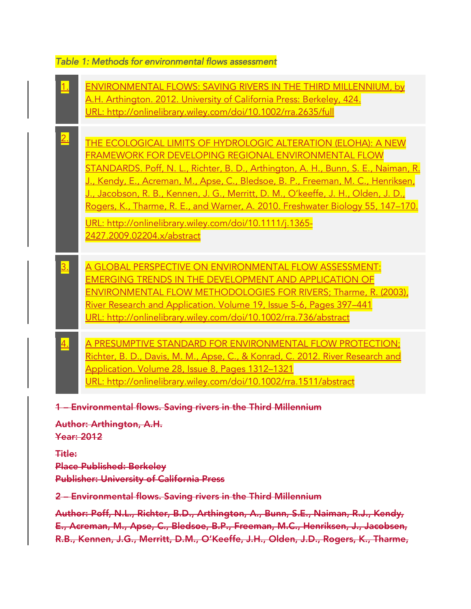#### *Table 1: Methods for environmental flows assessment*

1. ENVIRONMENTAL FLOWS: SAVING RIVERS IN THE THIRD MILLENNIUM, by A.H. Arthington. 2012. University of California Press: Berkeley, 424. URL: http://onlinelibrary.wiley.com/doi/10.1002/rra.2635/full  $\frac{2.}{2}$  . The ecological limits of hydrologic alteration (eloha): A New  $\,$ FRAMEWORK FOR DEVELOPING REGIONAL ENVIRONMENTAL FLOW STANDARDS. Poff, N. L., Richter, B. D., Arthington, A. H., Bunn, S. E., Naiman, R. J., Kendy, E., Acreman, M., Apse, C., Bledsoe, B. P., Freeman, M. C., Henriksen, J., Jacobson, R. B., Kennen, J. G., Merritt, D. M., O'keeffe, J. H., Olden, J. D., Rogers, K., Tharme, R. E., and Warner, A. 2010. Freshwater Biology 55, 147–170. URL: http://onlinelibrary.wiley.com/doi/10.1111/j.1365- 2427.2009.02204.x/abstract 3. A GLOBAL PERSPECTIVE ON ENVIRONMENTAL FLOW ASSESSMENT: EMERGING TRENDS IN THE DEVELOPMENT AND APPLICATION OF ENVIRONMENTAL FLOW METHODOLOGIES FOR RIVERS; Tharme, R. (2003), River Research and Application. Volume 19, Issue 5-6, Pages 397–441 URL: http://onlinelibrary.wiley.com/doi/10.1002/rra.736/abstract 4. A PRESUMPTIVE STANDARD FOR ENVIRONMENTAL FLOW PROTECTION; Richter, B. D., Davis, M. M., Apse, C., & Konrad, C. 2012. River Research and Application. Volume 28, Issue 8, Pages 1312–1321 URL: http://onlinelibrary.wiley.com/doi/10.1002/rra.1511/abstract 1 – Environmental flows. Saving rivers in the Third Millennium Author: Arthington, A.H. Year: 2012 Title: Place Published: Berkeley Publisher: University of California Press 2 – Environmental flows. Saving rivers in the Third Millennium Author: Poff, N.L., Richter, B.D., Arthington, A., Bunn, S.E., Naiman, R.J., Kendy, E., Acreman, M., Apse, C., Bledsoe, B.P., Freeman, M.C., Henriksen, J., Jacobsen, R.B., Kennen, J.G., Merritt, D.M., O'Keeffe, J.H., Olden, J.D., Rogers, K., Tharme,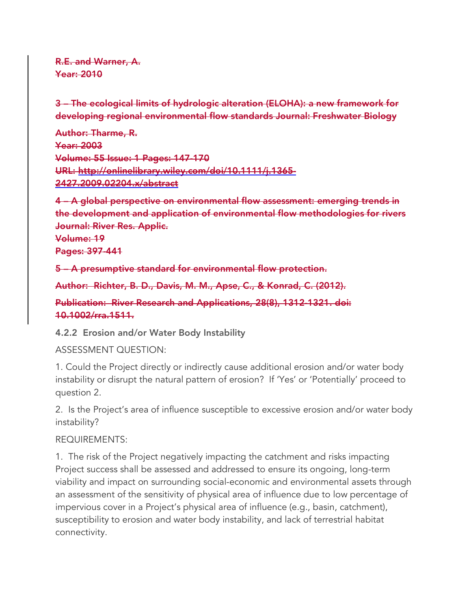R.E. and Warner, A. Year: 2010

3 – The ecological limits of hydrologic alteration (ELOHA): a new framework for developing regional environmental flow standards Journal: Freshwater Biology

Author: Tharme, R. Year: 2003 Volume: 55 Issue: 1 Pages: 147-170 URL: http://onlinelibrary.wiley.com/doi/10.1111/j.1365- 2427.2009.02204.x/abstract

4 – A global perspective on environmental flow assessment: emerging trends in the development and application of environmental flow methodologies for rivers Journal: River Res. Applic.

Volume: 19 Pages: 397-441

5 – A presumptive standard for environmental flow protection.

Author: Richter, B. D., Davis, M. M., Apse, C., & Konrad, C. (2012).

Publication: River Research and Applications, 28(8), 1312-1321. doi: 10.1002/rra.1511.

4.2.2 Erosion and/or Water Body Instability

#### ASSESSMENT QUESTION:

1. Could the Project directly or indirectly cause additional erosion and/or water body instability or disrupt the natural pattern of erosion? If 'Yes' or 'Potentially' proceed to question 2.

2. Is the Project's area of influence susceptible to excessive erosion and/or water body instability?

#### REQUIREMENTS:

1. The risk of the Project negatively impacting the catchment and risks impacting Project success shall be assessed and addressed to ensure its ongoing, long-term viability and impact on surrounding social-economic and environmental assets through an assessment of the sensitivity of physical area of influence due to low percentage of impervious cover in a Project's physical area of influence (e.g., basin, catchment), susceptibility to erosion and water body instability, and lack of terrestrial habitat connectivity.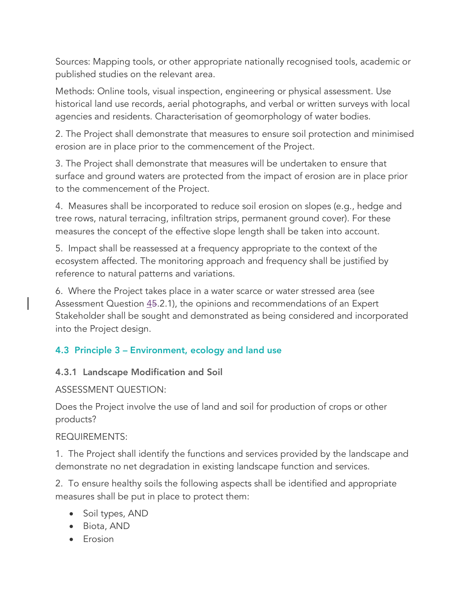Sources: Mapping tools, or other appropriate nationally recognised tools, academic or published studies on the relevant area.

Methods: Online tools, visual inspection, engineering or physical assessment. Use historical land use records, aerial photographs, and verbal or written surveys with local agencies and residents. Characterisation of geomorphology of water bodies.

2. The Project shall demonstrate that measures to ensure soil protection and minimised erosion are in place prior to the commencement of the Project.

3. The Project shall demonstrate that measures will be undertaken to ensure that surface and ground waters are protected from the impact of erosion are in place prior to the commencement of the Project.

4. Measures shall be incorporated to reduce soil erosion on slopes (e.g., hedge and tree rows, natural terracing, infiltration strips, permanent ground cover). For these measures the concept of the effective slope length shall be taken into account.

5. Impact shall be reassessed at a frequency appropriate to the context of the ecosystem affected. The monitoring approach and frequency shall be justified by reference to natural patterns and variations.

6. Where the Project takes place in a water scarce or water stressed area (see Assessment Question  $\underline{45.2.1}$ , the opinions and recommendations of an Expert Stakeholder shall be sought and demonstrated as being considered and incorporated into the Project design.

# 4.3 Principle 3 – Environment, ecology and land use

# 4.3.1 Landscape Modification and Soil

# ASSESSMENT QUESTION:

Does the Project involve the use of land and soil for production of crops or other products?

#### REQUIREMENTS:

1. The Project shall identify the functions and services provided by the landscape and demonstrate no net degradation in existing landscape function and services.

2. To ensure healthy soils the following aspects shall be identified and appropriate measures shall be put in place to protect them:

- Soil types, AND
- Biota, AND
- Erosion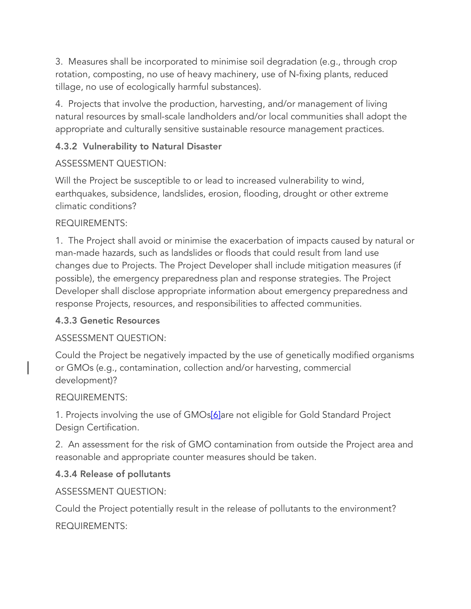3. Measures shall be incorporated to minimise soil degradation (e.g., through crop rotation, composting, no use of heavy machinery, use of N-fixing plants, reduced tillage, no use of ecologically harmful substances).

4. Projects that involve the production, harvesting, and/or management of living natural resources by small-scale landholders and/or local communities shall adopt the appropriate and culturally sensitive sustainable resource management practices.

# 4.3.2 Vulnerability to Natural Disaster

# ASSESSMENT QUESTION:

Will the Project be susceptible to or lead to increased vulnerability to wind, earthquakes, subsidence, landslides, erosion, flooding, drought or other extreme climatic conditions?

# REQUIREMENTS:

1. The Project shall avoid or minimise the exacerbation of impacts caused by natural or man-made hazards, such as landslides or floods that could result from land use changes due to Projects. The Project Developer shall include mitigation measures (if possible), the emergency preparedness plan and response strategies. The Project Developer shall disclose appropriate information about emergency preparedness and response Projects, resources, and responsibilities to affected communities.

# 4.3.3 Genetic Resources

# ASSESSMENT QUESTION:

Could the Project be negatively impacted by the use of genetically modified organisms or GMOs (e.g., contamination, collection and/or harvesting, commercial development)?

# REQUIREMENTS:

1. Projects involving the use of GMOs[6]are not eligible for Gold Standard Project Design Certification.

2. An assessment for the risk of GMO contamination from outside the Project area and reasonable and appropriate counter measures should be taken.

# 4.3.4 Release of pollutants

# ASSESSMENT QUESTION:

Could the Project potentially result in the release of pollutants to the environment? REQUIREMENTS: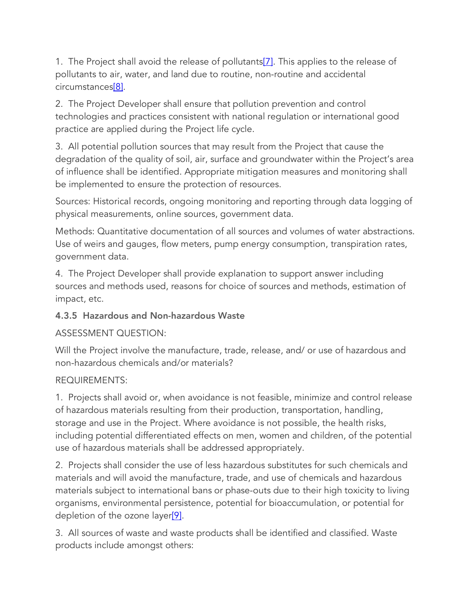1. The Project shall avoid the release of pollutants<sup>[7]</sup>. This applies to the release of pollutants to air, water, and land due to routine, non-routine and accidental circumstances[8].

2. The Project Developer shall ensure that pollution prevention and control technologies and practices consistent with national regulation or international good practice are applied during the Project life cycle.

3. All potential pollution sources that may result from the Project that cause the degradation of the quality of soil, air, surface and groundwater within the Project's area of influence shall be identified. Appropriate mitigation measures and monitoring shall be implemented to ensure the protection of resources.

Sources: Historical records, ongoing monitoring and reporting through data logging of physical measurements, online sources, government data.

Methods: Quantitative documentation of all sources and volumes of water abstractions. Use of weirs and gauges, flow meters, pump energy consumption, transpiration rates, government data.

4. The Project Developer shall provide explanation to support answer including sources and methods used, reasons for choice of sources and methods, estimation of impact, etc.

# 4.3.5 Hazardous and Non-hazardous Waste

# ASSESSMENT QUESTION:

Will the Project involve the manufacture, trade, release, and/ or use of hazardous and non-hazardous chemicals and/or materials?

# REQUIREMENTS:

1. Projects shall avoid or, when avoidance is not feasible, minimize and control release of hazardous materials resulting from their production, transportation, handling, storage and use in the Project. Where avoidance is not possible, the health risks, including potential differentiated effects on men, women and children, of the potential use of hazardous materials shall be addressed appropriately.

2. Projects shall consider the use of less hazardous substitutes for such chemicals and materials and will avoid the manufacture, trade, and use of chemicals and hazardous materials subject to international bans or phase-outs due to their high toxicity to living organisms, environmental persistence, potential for bioaccumulation, or potential for depletion of the ozone layer<sup>[9]</sup>.

3. All sources of waste and waste products shall be identified and classified. Waste products include amongst others: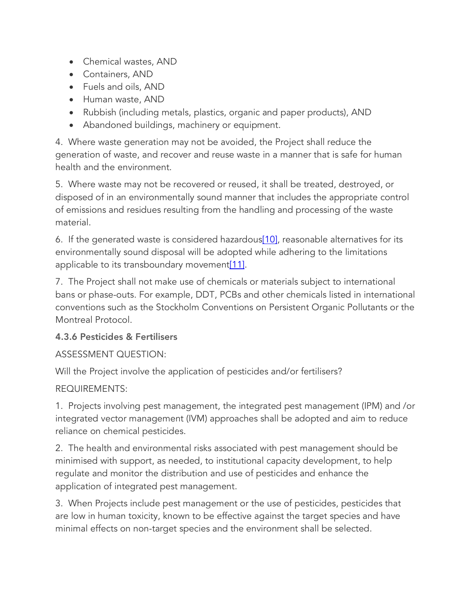- Chemical wastes, AND
- Containers, AND
- Fuels and oils, AND
- Human waste, AND
- Rubbish (including metals, plastics, organic and paper products), AND
- Abandoned buildings, machinery or equipment.

4. Where waste generation may not be avoided, the Project shall reduce the generation of waste, and recover and reuse waste in a manner that is safe for human health and the environment.

5. Where waste may not be recovered or reused, it shall be treated, destroyed, or disposed of in an environmentally sound manner that includes the appropriate control of emissions and residues resulting from the handling and processing of the waste material.

6. If the generated waste is considered hazardous[10], reasonable alternatives for its environmentally sound disposal will be adopted while adhering to the limitations applicable to its transboundary movement $[11]$ .

7. The Project shall not make use of chemicals or materials subject to international bans or phase-outs. For example, DDT, PCBs and other chemicals listed in international conventions such as the Stockholm Conventions on Persistent Organic Pollutants or the Montreal Protocol.

# 4.3.6 Pesticides & Fertilisers

# ASSESSMENT QUESTION:

Will the Project involve the application of pesticides and/or fertilisers?

# REQUIREMENTS:

1. Projects involving pest management, the integrated pest management (IPM) and /or integrated vector management (IVM) approaches shall be adopted and aim to reduce reliance on chemical pesticides.

2. The health and environmental risks associated with pest management should be minimised with support, as needed, to institutional capacity development, to help regulate and monitor the distribution and use of pesticides and enhance the application of integrated pest management.

3. When Projects include pest management or the use of pesticides, pesticides that are low in human toxicity, known to be effective against the target species and have minimal effects on non-target species and the environment shall be selected.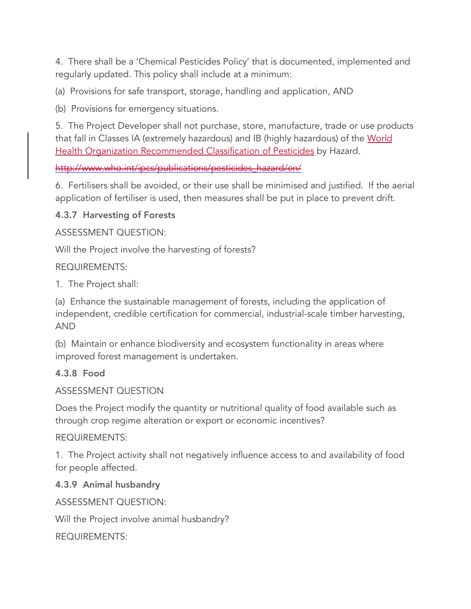4. There shall be a 'Chemical Pesticides Policy' that is documented, implemented and regularly updated. This policy shall include at a minimum:

(a) Provisions for safe transport, storage, handling and application, AND

(b) Provisions for emergency situations.

5. The Project Developer shall not purchase, store, manufacture, trade or use products that fall in Classes IA (extremely hazardous) and IB (highly hazardous) of the World Health Organization Recommended Classification of Pesticides by Hazard.

http://www.who.int/ipcs/publications/pesticides\_hazard/en/

6. Fertilisers shall be avoided, or their use shall be minimised and justified. If the aerial application of fertiliser is used, then measures shall be put in place to prevent drift.

### 4.3.7 Harvesting of Forests

ASSESSMENT QUESTION:

Will the Project involve the harvesting of forests?

### REQUIREMENTS:

1. The Project shall:

(a) Enhance the sustainable management of forests, including the application of independent, credible certification for commercial, industrial-scale timber harvesting, AND

(b) Maintain or enhance biodiversity and ecosystem functionality in areas where improved forest management is undertaken.

# 4.3.8 Food

#### ASSESSMENT QUESTION

Does the Project modify the quantity or nutritional quality of food available such as through crop regime alteration or export or economic incentives?

#### REQUIREMENTS:

1. The Project activity shall not negatively influence access to and availability of food for people affected.

#### 4.3.9 Animal husbandry

ASSESSMENT QUESTION:

Will the Project involve animal husbandry?

REQUIREMENTS: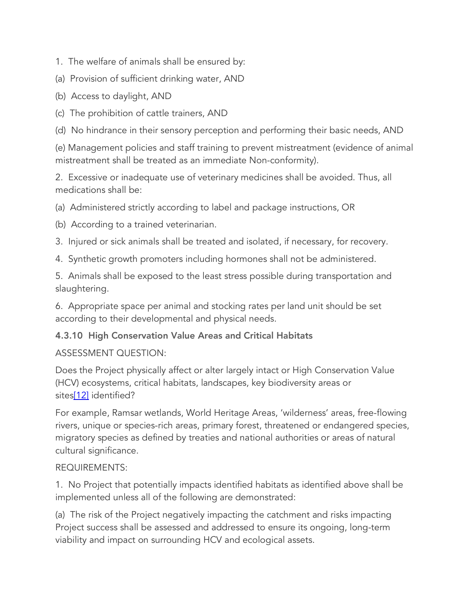1. The welfare of animals shall be ensured by:

(a) Provision of sufficient drinking water, AND

(b) Access to daylight, AND

(c) The prohibition of cattle trainers, AND

(d) No hindrance in their sensory perception and performing their basic needs, AND

(e) Management policies and staff training to prevent mistreatment (evidence of animal mistreatment shall be treated as an immediate Non-conformity).

2. Excessive or inadequate use of veterinary medicines shall be avoided. Thus, all medications shall be:

(a) Administered strictly according to label and package instructions, OR

(b) According to a trained veterinarian.

3. Injured or sick animals shall be treated and isolated, if necessary, for recovery.

4. Synthetic growth promoters including hormones shall not be administered.

5. Animals shall be exposed to the least stress possible during transportation and slaughtering.

6. Appropriate space per animal and stocking rates per land unit should be set according to their developmental and physical needs.

# 4.3.10 High Conservation Value Areas and Critical Habitats

# ASSESSMENT QUESTION:

Does the Project physically affect or alter largely intact or High Conservation Value (HCV) ecosystems, critical habitats, landscapes, key biodiversity areas or sites[12] identified?

For example, Ramsar wetlands, World Heritage Areas, 'wilderness' areas, free-flowing rivers, unique or species-rich areas, primary forest, threatened or endangered species, migratory species as defined by treaties and national authorities or areas of natural cultural significance.

#### REQUIREMENTS:

1. No Project that potentially impacts identified habitats as identified above shall be implemented unless all of the following are demonstrated:

(a) The risk of the Project negatively impacting the catchment and risks impacting Project success shall be assessed and addressed to ensure its ongoing, long-term viability and impact on surrounding HCV and ecological assets.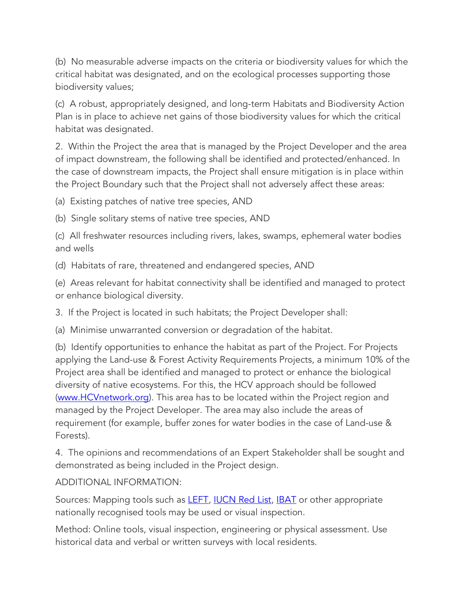(b) No measurable adverse impacts on the criteria or biodiversity values for which the critical habitat was designated, and on the ecological processes supporting those biodiversity values;

(c) A robust, appropriately designed, and long-term Habitats and Biodiversity Action Plan is in place to achieve net gains of those biodiversity values for which the critical habitat was designated.

2. Within the Project the area that is managed by the Project Developer and the area of impact downstream, the following shall be identified and protected/enhanced. In the case of downstream impacts, the Project shall ensure mitigation is in place within the Project Boundary such that the Project shall not adversely affect these areas:

(a) Existing patches of native tree species, AND

(b) Single solitary stems of native tree species, AND

(c) All freshwater resources including rivers, lakes, swamps, ephemeral water bodies and wells

(d) Habitats of rare, threatened and endangered species, AND

(e) Areas relevant for habitat connectivity shall be identified and managed to protect or enhance biological diversity.

3. If the Project is located in such habitats; the Project Developer shall:

(a) Minimise unwarranted conversion or degradation of the habitat.

(b) Identify opportunities to enhance the habitat as part of the Project. For Projects applying the Land-use & Forest Activity Requirements Projects, a minimum 10% of the Project area shall be identified and managed to protect or enhance the biological diversity of native ecosystems. For this, the HCV approach should be followed (www.HCVnetwork.org). This area has to be located within the Project region and managed by the Project Developer. The area may also include the areas of requirement (for example, buffer zones for water bodies in the case of Land-use & Forests).

4. The opinions and recommendations of an Expert Stakeholder shall be sought and demonstrated as being included in the Project design.

#### ADDITIONAL INFORMATION:

Sources: Mapping tools such as **LEFT**, **IUCN Red List**, **IBAT** or other appropriate nationally recognised tools may be used or visual inspection.

Method: Online tools, visual inspection, engineering or physical assessment. Use historical data and verbal or written surveys with local residents.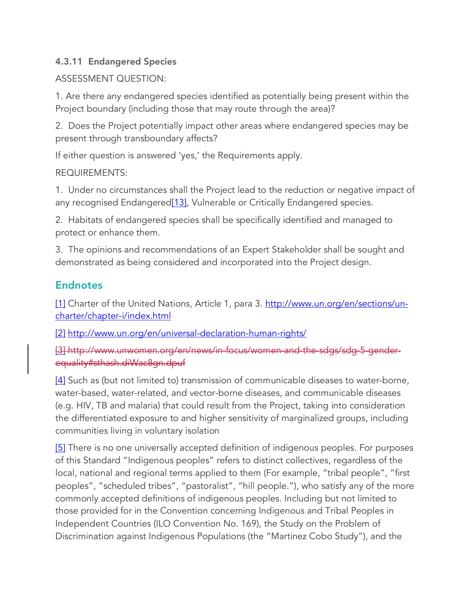# 4.3.11 Endangered Species

# ASSESSMENT QUESTION:

1. Are there any endangered species identified as potentially being present within the Project boundary (including those that may route through the area)?

2. Does the Project potentially impact other areas where endangered species may be present through transboundary affects?

If either question is answered 'yes,' the Requirements apply.

# REQUIREMENTS:

1. Under no circumstances shall the Project lead to the reduction or negative impact of any recognised Endangered<sup>[13]</sup>, Vulnerable or Critically Endangered species.

2. Habitats of endangered species shall be specifically identified and managed to protect or enhance them.

3. The opinions and recommendations of an Expert Stakeholder shall be sought and demonstrated as being considered and incorporated into the Project design.

# **Endnotes**

[1] Charter of the United Nations, Article 1, para 3. http://www.un.org/en/sections/uncharter/chapter-i/index.html

[2] http://www.un.org/en/universal-declaration-human-rights/

[3] http://www.unwomen.org/en/news/in-focus/women-and-the-sdgs/sdg-5-genderequality#sthash.diWac8gn.dpuf

[4] Such as (but not limited to) transmission of communicable diseases to water-borne, water-based, water-related, and vector-borne diseases, and communicable diseases (e.g. HIV, TB and malaria) that could result from the Project, taking into consideration the differentiated exposure to and higher sensitivity of marginalized groups, including communities living in voluntary isolation

[5] There is no one universally accepted definition of indigenous peoples. For purposes of this Standard "Indigenous peoples" refers to distinct collectives, regardless of the local, national and regional terms applied to them (For example, "tribal people", "first peoples", "scheduled tribes", "pastoralist", "hill people."), who satisfy any of the more commonly accepted definitions of indigenous peoples. Including but not limited to those provided for in the Convention concerning Indigenous and Tribal Peoples in Independent Countries (ILO Convention No. 169), the Study on the Problem of Discrimination against Indigenous Populations (the "Martinez Cobo Study"), and the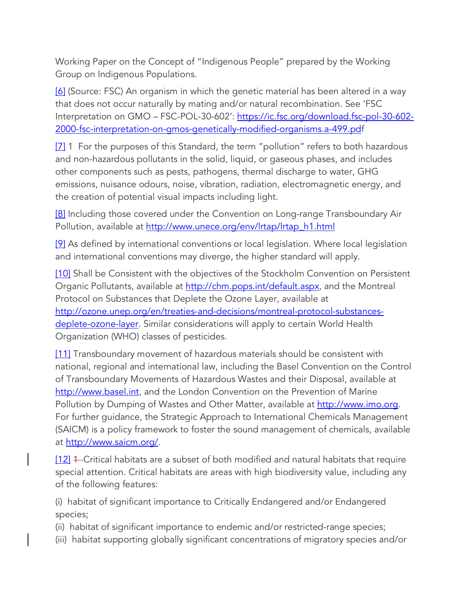Working Paper on the Concept of "Indigenous People" prepared by the Working Group on Indigenous Populations.

[6] (Source: FSC) An organism in which the genetic material has been altered in a way that does not occur naturally by mating and/or natural recombination. See 'FSC Interpretation on GMO - FSC-POL-30-602': https://ic.fsc.org/download.fsc-pol-30-602-2000-fsc-interpretation-on-gmos-genetically-modified-organisms.a-499.pdf

[7] 1 For the purposes of this Standard, the term "pollution" refers to both hazardous and non-hazardous pollutants in the solid, liquid, or gaseous phases, and includes other components such as pests, pathogens, thermal discharge to water, GHG emissions, nuisance odours, noise, vibration, radiation, electromagnetic energy, and the creation of potential visual impacts including light.

[8] Including those covered under the Convention on Long-range Transboundary Air Pollution, available at http://www.unece.org/env/lrtap/lrtap\_h1.html

[9] As defined by international conventions or local legislation. Where local legislation and international conventions may diverge, the higher standard will apply.

[10] Shall be Consistent with the objectives of the Stockholm Convention on Persistent Organic Pollutants, available at http://chm.pops.int/default.aspx, and the Montreal Protocol on Substances that Deplete the Ozone Layer, available at http://ozone.unep.org/en/treaties-and-decisions/montreal-protocol-substancesdeplete-ozone-layer. Similar considerations will apply to certain World Health Organization (WHO) classes of pesticides.

[11] Transboundary movement of hazardous materials should be consistent with national, regional and international law, including the Basel Convention on the Control of Transboundary Movements of Hazardous Wastes and their Disposal, available at http://www.basel.int, and the London Convention on the Prevention of Marine Pollution by Dumping of Wastes and Other Matter, available at http://www.imo.org. For further guidance, the Strategic Approach to International Chemicals Management (SAICM) is a policy framework to foster the sound management of chemicals, available at http://www.saicm.org/.

[12] 4–Critical habitats are a subset of both modified and natural habitats that require special attention. Critical habitats are areas with high biodiversity value, including any of the following features:

(i) habitat of significant importance to Critically Endangered and/or Endangered species;

(ii) habitat of significant importance to endemic and/or restricted-range species;

(iii) habitat supporting globally significant concentrations of migratory species and/or